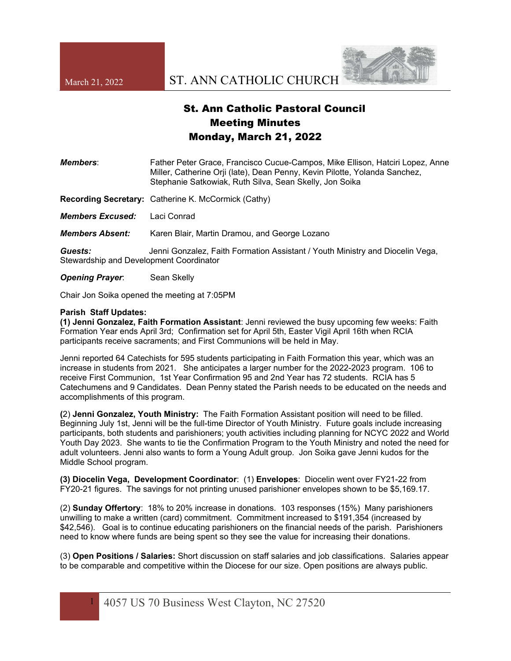

## St. Ann Catholic Pastoral Council Meeting Minutes Monday, March 21, 2022

| Members:                      | Father Peter Grace, Francisco Cucue-Campos, Mike Ellison, Hatciri Lopez, Anne<br>Miller, Catherine Orji (late), Dean Penny, Kevin Pilotte, Yolanda Sanchez,<br>Stephanie Satkowiak, Ruth Silva, Sean Skelly, Jon Soika |
|-------------------------------|------------------------------------------------------------------------------------------------------------------------------------------------------------------------------------------------------------------------|
|                               | <b>Recording Secretary:</b> Catherine K. McCormick (Cathy)                                                                                                                                                             |
| Members Excused:              | Laci Conrad                                                                                                                                                                                                            |
| <i><b>Members Absent:</b></i> | Karen Blair, Martin Dramou, and George Lozano                                                                                                                                                                          |

*Guests:* Jenni Gonzalez, Faith Formation Assistant / Youth Ministry and Diocelin Vega, Stewardship and Development Coordinator

**Opening Prayer:** Sean Skelly

Chair Jon Soika opened the meeting at 7:05PM

## **Parish Staff Updates:**

 **(1) Jenni Gonzalez, Faith Formation Assistant**: Jenni reviewed the busy upcoming few weeks: Faith Formation Year ends April 3rd; Confirmation set for April 5th, Easter Vigil April 16th when RCIA participants receive sacraments; and First Communions will be held in May.

 Jenni reported 64 Catechists for 595 students participating in Faith Formation this year, which was an increase in students from 2021. She anticipates a larger number for the 2022-2023 program. 106 to receive First Communion, 1st Year Confirmation 95 and 2nd Year has 72 students. RCIA has 5 Catechumens and 9 Candidates. Dean Penny stated the Parish needs to be educated on the needs and accomplishments of this program.

**(**2) **Jenni Gonzalez, Youth Ministry:** The Faith Formation Assistant position will need to be filled. Beginning July 1st, Jenni will be the full-time Director of Youth Ministry. Future goals include increasing participants, both students and parishioners; youth activities including planning for NCYC 2022 and World Youth Day 2023. She wants to tie the Confirmation Program to the Youth Ministry and noted the need for adult volunteers. Jenni also wants to form a Young Adult group. Jon Soika gave Jenni kudos for the Middle School program.

**(3) Diocelin Vega, Development Coordinator**: (1) **Envelopes**: Diocelin went over FY21-22 from FY20-21 figures. The savings for not printing unused parishioner envelopes shown to be \$5,169.17.

 (2) **Sunday Offertory**: 18% to 20% increase in donations. 103 responses (15%) Many parishioners unwilling to make a written (card) commitment. Commitment increased to \$191,354 (increased by \$42,546). Goal is to continue educating parishioners on the financial needs of the parish. Parishioners need to know where funds are being spent so they see the value for increasing their donations.

 (3) **Open Positions / Salaries:** Short discussion on staff salaries and job classifications. Salaries appear to be comparable and competitive within the Diocese for our size. Open positions are always public.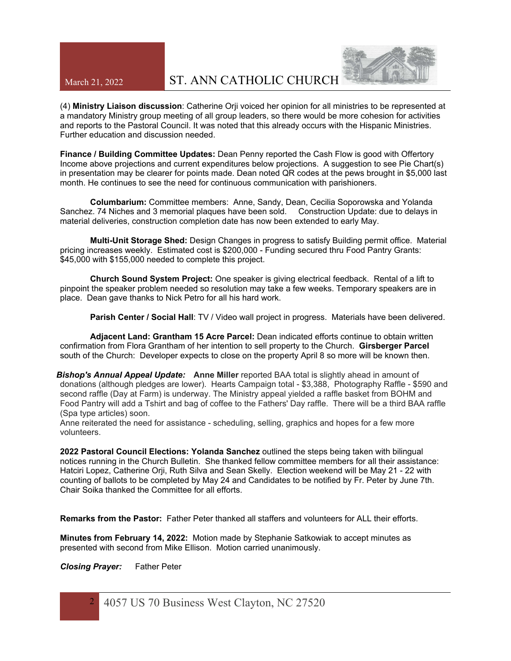## March 21, 2022 ST. ANN CATHOLIC CHURCH



 (4) **Ministry Liaison discussion**: Catherine Orji voiced her opinion for all ministries to be represented at a mandatory Ministry group meeting of all group leaders, so there would be more cohesion for activities and reports to the Pastoral Council. It was noted that this already occurs with the Hispanic Ministries. Further education and discussion needed.

**Finance / Building Committee Updates:** Dean Penny reported the Cash Flow is good with Offertory Income above projections and current expenditures below projections. A suggestion to see Pie Chart(s) in presentation may be clearer for points made. Dean noted QR codes at the pews brought in \$5,000 last month. He continues to see the need for continuous communication with parishioners.

 **Columbarium:** Committee members: Anne, Sandy, Dean, Cecilia Soporowska and Yolanda Sanchez. 74 Niches and 3 memorial plaques have been sold. Construction Update: due to delays in material deliveries, construction completion date has now been extended to early May.

 **Multi-Unit Storage Shed:** Design Changes in progress to satisfy Building permit office. Material pricing increases weekly. Estimated cost is \$200,000 - Funding secured thru Food Pantry Grants: \$45,000 with \$155,000 needed to complete this project.

 **Church Sound System Project:** One speaker is giving electrical feedback. Rental of a lift to pinpoint the speaker problem needed so resolution may take a few weeks. Temporary speakers are in place. Dean gave thanks to Nick Petro for all his hard work.

 **Parish Center / Social Hall**: TV / Video wall project in progress. Materials have been delivered.

 **Adjacent Land: Grantham 15 Acre Parcel:** Dean indicated efforts continue to obtain written confirmation from Flora Grantham of her intention to sell property to the Church. **Girsberger Parcel** south of the Church: Developer expects to close on the property April 8 so more will be known then.

*Bishop's Annual Appeal Update:* **Anne Miller** reported BAA total is slightly ahead in amount of donations (although pledges are lower). Hearts Campaign total - \$3,388, Photography Raffle - \$590 and second raffle (Day at Farm) is underway. The Ministry appeal yielded a raffle basket from BOHM and Food Pantry will add a Tshirt and bag of coffee to the Fathers' Day raffle. There will be a third BAA raffle (Spa type articles) soon.

Anne reiterated the need for assistance - scheduling, selling, graphics and hopes for a few more volunteers.

**2022 Pastoral Council Elections: Yolanda Sanchez** outlined the steps being taken with bilingual notices running in the Church Bulletin. She thanked fellow committee members for all their assistance: Hatciri Lopez, Catherine Orji, Ruth Silva and Sean Skelly. Election weekend will be May 21 - 22 with counting of ballots to be completed by May 24 and Candidates to be notified by Fr. Peter by June 7th. Chair Soika thanked the Committee for all efforts.

**Remarks from the Pastor:** Father Peter thanked all staffers and volunteers for ALL their efforts.

**Minutes from February 14, 2022:** Motion made by Stephanie Satkowiak to accept minutes as presented with second from Mike Ellison. Motion carried unanimously.

*Closing Prayer:* Father Peter